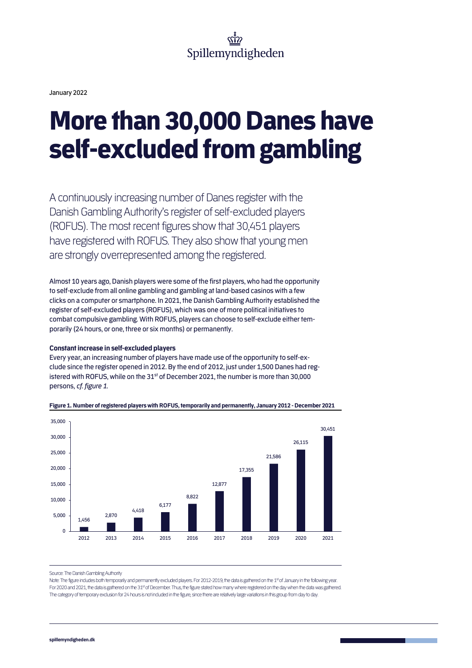

January 2022

## More than 30,000 Danes have self-excluded from gambling

A continuously increasing number of Danes register with the Danish Gambling Authority's register of self-excluded players (ROFUS). The most recent figures show that 30,451 players have registered with ROFUS. They also show that young men are strongly overrepresented among the registered.

Almost 10 years ago, Danish players were some of the first players, who had the opportunity to self-exclude from all online gambling and gambling at land-based casinos with a few clicks on a computer or smartphone. In 2021, the Danish Gambling Authority established the register of self-excluded players (ROFUS), which was one of more political initiatives to combat compulsive gambling. With ROFUS, players can choose to self-exclude either temporarily (24 hours, or one, three or six months) or permanently.

### **Constant increase in self-excluded players**

Every year, an increasing number of players have made use of the opportunity to self-exclude since the register opened in 2012. By the end of 2012, just under 1,500 Danes had registered with ROFUS, while on the 31<sup>st</sup> of December 2021, the number is more than 30,000 persons, *cf. figure 1*.



### **Figure 1. Number of registered players with ROFUS, temporarily and permanently, January 2012 - December 2021**

Source: The Danish Gambling Authority

Note: The figure includes both temporarily and permanently excluded players. For 2012-2019, the data is gathered on the 1st of January in the following year. For 2020 and 2021, the data is gathered on the 31st of December. Thus, the figure stated how many where registered on the day when the data was gathered. The category of temporary exclusion for 24 hours is not included in the figure, since there are relatively large variations in this group from day to day.